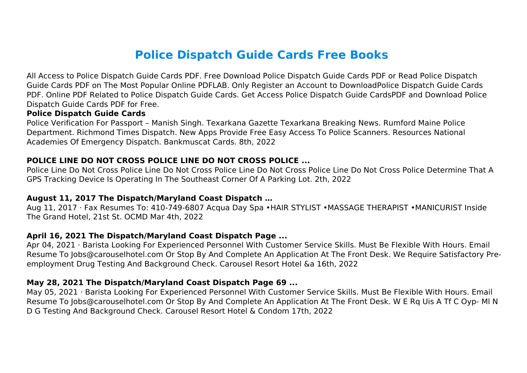# **Police Dispatch Guide Cards Free Books**

All Access to Police Dispatch Guide Cards PDF. Free Download Police Dispatch Guide Cards PDF or Read Police Dispatch Guide Cards PDF on The Most Popular Online PDFLAB. Only Register an Account to DownloadPolice Dispatch Guide Cards PDF. Online PDF Related to Police Dispatch Guide Cards. Get Access Police Dispatch Guide CardsPDF and Download Police Dispatch Guide Cards PDF for Free.

#### **Police Dispatch Guide Cards**

Police Verification For Passport – Manish Singh. Texarkana Gazette Texarkana Breaking News. Rumford Maine Police Department. Richmond Times Dispatch. New Apps Provide Free Easy Access To Police Scanners. Resources National Academies Of Emergency Dispatch. Bankmuscat Cards. 8th, 2022

#### **POLICE LINE DO NOT CROSS POLICE LINE DO NOT CROSS POLICE ...**

Police Line Do Not Cross Police Line Do Not Cross Police Line Do Not Cross Police Line Do Not Cross Police Determine That A GPS Tracking Device Is Operating In The Southeast Corner Of A Parking Lot. 2th, 2022

#### **August 11, 2017 The Dispatch/Maryland Coast Dispatch …**

Aug 11, 2017 · Fax Resumes To: 410-749-6807 Acqua Day Spa •HAIR STYLIST •MASSAGE THERAPIST •MANICURIST Inside The Grand Hotel, 21st St. OCMD Mar 4th, 2022

#### **April 16, 2021 The Dispatch/Maryland Coast Dispatch Page ...**

Apr 04, 2021 · Barista Looking For Experienced Personnel With Customer Service Skills. Must Be Flexible With Hours. Email Resume To Jobs@carouselhotel.com Or Stop By And Complete An Application At The Front Desk. We Require Satisfactory Preemployment Drug Testing And Background Check. Carousel Resort Hotel &a 16th, 2022

#### **May 28, 2021 The Dispatch/Maryland Coast Dispatch Page 69 ...**

May 05, 2021 · Barista Looking For Experienced Personnel With Customer Service Skills. Must Be Flexible With Hours. Email Resume To Jobs@carouselhotel.com Or Stop By And Complete An Application At The Front Desk. W E Rq Uis A Tf C Oyp- Ml N D G Testing And Background Check. Carousel Resort Hotel & Condom 17th, 2022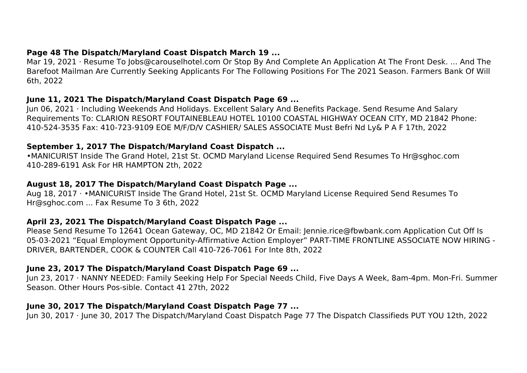#### **Page 48 The Dispatch/Maryland Coast Dispatch March 19 ...**

Mar 19, 2021 · Resume To Jobs@carouselhotel.com Or Stop By And Complete An Application At The Front Desk. ... And The Barefoot Mailman Are Currently Seeking Applicants For The Following Positions For The 2021 Season. Farmers Bank Of Will 6th, 2022

#### **June 11, 2021 The Dispatch/Maryland Coast Dispatch Page 69 ...**

Jun 06, 2021 · Including Weekends And Holidays. Excellent Salary And Benefits Package. Send Resume And Salary Requirements To: CLARION RESORT FOUTAINEBLEAU HOTEL 10100 COASTAL HIGHWAY OCEAN CITY, MD 21842 Phone: 410-524-3535 Fax: 410-723-9109 EOE M/F/D/V CASHIER/ SALES ASSOCIATE Must Befri Nd Ly& P A F 17th, 2022

## **September 1, 2017 The Dispatch/Maryland Coast Dispatch ...**

•MANICURIST Inside The Grand Hotel, 21st St. OCMD Maryland License Required Send Resumes To Hr@sghoc.com 410-289-6191 Ask For HR HAMPTON 2th, 2022

#### **August 18, 2017 The Dispatch/Maryland Coast Dispatch Page ...**

Aug 18, 2017 · •MANICURIST Inside The Grand Hotel, 21st St. OCMD Maryland License Required Send Resumes To Hr@sghoc.com ... Fax Resume To 3 6th, 2022

## **April 23, 2021 The Dispatch/Maryland Coast Dispatch Page ...**

Please Send Resume To 12641 Ocean Gateway, OC, MD 21842 Or Email: Jennie.rice@fbwbank.com Application Cut Off Is 05-03-2021 "Equal Employment Opportunity-Affirmative Action Employer" PART-TIME FRONTLINE ASSOCIATE NOW HIRING - DRIVER, BARTENDER, COOK & COUNTER Call 410-726-7061 For Inte 8th, 2022

## **June 23, 2017 The Dispatch/Maryland Coast Dispatch Page 69 ...**

Jun 23, 2017 · NANNY NEEDED: Family Seeking Help For Special Needs Child, Five Days A Week, 8am-4pm. Mon-Fri. Summer Season. Other Hours Pos-sible. Contact 41 27th, 2022

## **June 30, 2017 The Dispatch/Maryland Coast Dispatch Page 77 ...**

Jun 30, 2017 · June 30, 2017 The Dispatch/Maryland Coast Dispatch Page 77 The Dispatch Classifieds PUT YOU 12th, 2022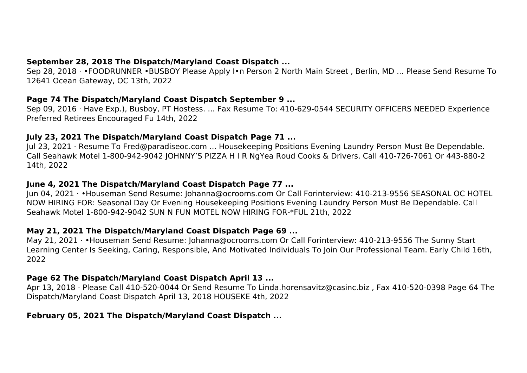## **September 28, 2018 The Dispatch/Maryland Coast Dispatch ...**

Sep 28, 2018 · •FOODRUNNER •BUSBOY Please Apply I•n Person 2 North Main Street , Berlin, MD ... Please Send Resume To 12641 Ocean Gateway, OC 13th, 2022

#### **Page 74 The Dispatch/Maryland Coast Dispatch September 9 ...**

Sep 09, 2016 · Have Exp.), Busboy, PT Hostess. ... Fax Resume To: 410-629-0544 SECURITY OFFICERS NEEDED Experience Preferred Retirees Encouraged Fu 14th, 2022

## **July 23, 2021 The Dispatch/Maryland Coast Dispatch Page 71 ...**

Jul 23, 2021 · Resume To Fred@paradiseoc.com ... Housekeeping Positions Evening Laundry Person Must Be Dependable. Call Seahawk Motel 1-800-942-9042 JOHNNY'S PIZZA H I R NgYea Roud Cooks & Drivers. Call 410-726-7061 Or 443-880-2 14th, 2022

## **June 4, 2021 The Dispatch/Maryland Coast Dispatch Page 77 ...**

Jun 04, 2021 · •Houseman Send Resume: Johanna@ocrooms.com Or Call Forinterview: 410-213-9556 SEASONAL OC HOTEL NOW HIRING FOR: Seasonal Day Or Evening Housekeeping Positions Evening Laundry Person Must Be Dependable. Call Seahawk Motel 1-800-942-9042 SUN N FUN MOTEL NOW HIRING FOR-\*FUL 21th, 2022

## **May 21, 2021 The Dispatch/Maryland Coast Dispatch Page 69 ...**

May 21, 2021 · •Houseman Send Resume: Johanna@ocrooms.com Or Call Forinterview: 410-213-9556 The Sunny Start Learning Center Is Seeking, Caring, Responsible, And Motivated Individuals To Join Our Professional Team. Early Child 16th, 2022

## **Page 62 The Dispatch/Maryland Coast Dispatch April 13 ...**

Apr 13, 2018 · Please Call 410-520-0044 Or Send Resume To Linda.horensavitz@casinc.biz , Fax 410-520-0398 Page 64 The Dispatch/Maryland Coast Dispatch April 13, 2018 HOUSEKE 4th, 2022

## **February 05, 2021 The Dispatch/Maryland Coast Dispatch ...**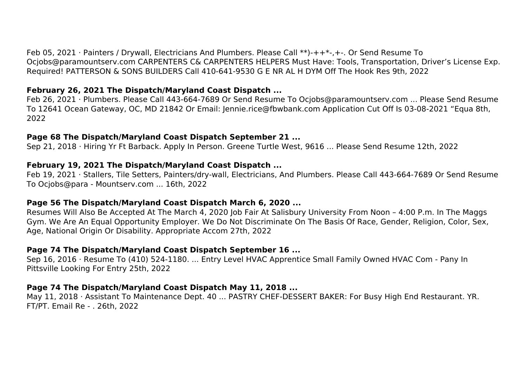Feb 05, 2021 · Painters / Drywall, Electricians And Plumbers. Please Call \*\*)-++\*-,+-. Or Send Resume To Ocjobs@paramountserv.com CARPENTERS C& CARPENTERS HELPERS Must Have: Tools, Transportation, Driver's License Exp. Required! PATTERSON & SONS BUILDERS Call 410-641-9530 G E NR AL H DYM Off The Hook Res 9th, 2022

#### **February 26, 2021 The Dispatch/Maryland Coast Dispatch ...**

Feb 26, 2021 · Plumbers. Please Call 443-664-7689 Or Send Resume To Ocjobs@paramountserv.com ... Please Send Resume To 12641 Ocean Gateway, OC, MD 21842 Or Email: Jennie.rice@fbwbank.com Application Cut Off Is 03-08-2021 "Equa 8th, 2022

#### **Page 68 The Dispatch/Maryland Coast Dispatch September 21 ...**

Sep 21, 2018 · Hiring Yr Ft Barback. Apply In Person. Greene Turtle West, 9616 ... Please Send Resume 12th, 2022

#### **February 19, 2021 The Dispatch/Maryland Coast Dispatch ...**

Feb 19, 2021 · Stallers, Tile Setters, Painters/dry-wall, Electricians, And Plumbers. Please Call 443-664-7689 Or Send Resume To Ocjobs@para - Mountserv.com ... 16th, 2022

#### **Page 56 The Dispatch/Maryland Coast Dispatch March 6, 2020 ...**

Resumes Will Also Be Accepted At The March 4, 2020 Job Fair At Salisbury University From Noon – 4:00 P.m. In The Maggs Gym. We Are An Equal Opportunity Employer. We Do Not Discriminate On The Basis Of Race, Gender, Religion, Color, Sex, Age, National Origin Or Disability. Appropriate Accom 27th, 2022

## **Page 74 The Dispatch/Maryland Coast Dispatch September 16 ...**

Sep 16, 2016 · Resume To (410) 524-1180. ... Entry Level HVAC Apprentice Small Family Owned HVAC Com - Pany In Pittsville Looking For Entry 25th, 2022

## **Page 74 The Dispatch/Maryland Coast Dispatch May 11, 2018 ...**

May 11, 2018 · Assistant To Maintenance Dept. 40 ... PASTRY CHEF-DESSERT BAKER: For Busy High End Restaurant. YR. FT/PT. Email Re - . 26th, 2022